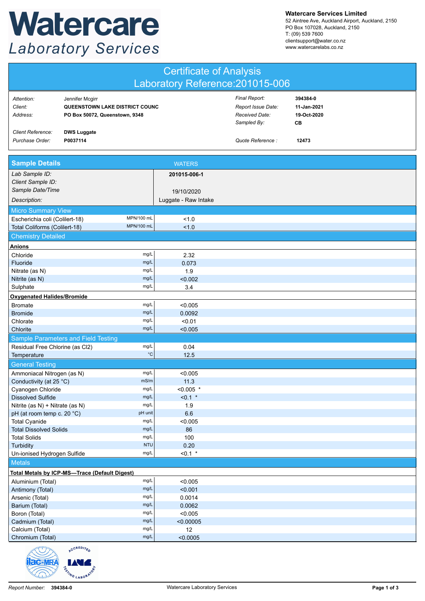## Watercare **Laboratory Services**

**Watercare Services Limited**

52 Aintree Ave, Auckland Airport, Auckland, 2150 PO Box 107028, Auckland, 2150 T: (09) 539 7600 clientsupport@water.co.nz www.watercarelabs.co.nz

| <b>Certificate of Analysis</b>                                |                                                                                     |                      |                                                                      |                                              |  |  |
|---------------------------------------------------------------|-------------------------------------------------------------------------------------|----------------------|----------------------------------------------------------------------|----------------------------------------------|--|--|
| Laboratory Reference: 201015-006                              |                                                                                     |                      |                                                                      |                                              |  |  |
| Attention:<br>Client:<br>Address:                             | Jennifer Mcgirr<br>QUEENSTOWN LAKE DISTRICT COUNC<br>PO Box 50072, Queenstown, 9348 |                      | Final Report:<br>Report Issue Date:<br>Received Date:<br>Sampled By: | 394384-0<br>11-Jan-2021<br>19-Oct-2020<br>CВ |  |  |
| Client Reference:<br>Purchase Order:                          | <b>DWS Luggate</b><br>P0037114                                                      |                      | Quote Reference :                                                    | 12473                                        |  |  |
| <b>Sample Details</b>                                         |                                                                                     | <b>WATERS</b>        |                                                                      |                                              |  |  |
| Lab Sample ID:<br>Client Sample ID:                           |                                                                                     | 201015-006-1         |                                                                      |                                              |  |  |
| Sample Date/Time                                              |                                                                                     | 19/10/2020           |                                                                      |                                              |  |  |
| Description:                                                  |                                                                                     | Luggate - Raw Intake |                                                                      |                                              |  |  |
| <b>Micro Summary View</b>                                     |                                                                                     |                      |                                                                      |                                              |  |  |
| Escherichia coli (Colilert-18)                                | MPN/100 mL                                                                          | 1.0                  |                                                                      |                                              |  |  |
| Total Coliforms (Colilert-18)                                 | MPN/100 mL                                                                          | 1.0                  |                                                                      |                                              |  |  |
| <b>Chemistry Detailed</b>                                     |                                                                                     |                      |                                                                      |                                              |  |  |
| <b>Anions</b>                                                 |                                                                                     |                      |                                                                      |                                              |  |  |
| Chloride                                                      | mg/L                                                                                | 2.32                 |                                                                      |                                              |  |  |
| Fluoride                                                      | mg/L                                                                                | 0.073                |                                                                      |                                              |  |  |
| Nitrate (as N)                                                | mg/L                                                                                | 1.9                  |                                                                      |                                              |  |  |
| Nitrite (as N)                                                | mg/L                                                                                | < 0.002              |                                                                      |                                              |  |  |
| Sulphate                                                      | mg/L                                                                                | 3.4                  |                                                                      |                                              |  |  |
| <b>Oxygenated Halides/Bromide</b>                             |                                                                                     |                      |                                                                      |                                              |  |  |
| <b>Bromate</b>                                                | mg/L                                                                                | < 0.005              |                                                                      |                                              |  |  |
| <b>Bromide</b>                                                | mg/L                                                                                | 0.0092               |                                                                      |                                              |  |  |
| Chlorate                                                      | mg/L                                                                                | < 0.01               |                                                                      |                                              |  |  |
| Chlorite                                                      | mg/L                                                                                | < 0.005              |                                                                      |                                              |  |  |
|                                                               | <b>Sample Parameters and Field Testing</b>                                          |                      |                                                                      |                                              |  |  |
| Residual Free Chlorine (as Cl2)                               | mg/L                                                                                | 0.04                 |                                                                      |                                              |  |  |
| Temperature                                                   | $^{\circ}{\rm C}$                                                                   | 12.5                 |                                                                      |                                              |  |  |
| <b>General Testing</b>                                        |                                                                                     |                      |                                                                      |                                              |  |  |
| Ammoniacal Nitrogen (as N)                                    | mg/L                                                                                | < 0.005              |                                                                      |                                              |  |  |
| Conductivity (at 25 °C)                                       | mS/m                                                                                | 11.3                 |                                                                      |                                              |  |  |
| Cyanogen Chloride                                             | mg/L<br>mg/L                                                                        | $< 0.005$ *          |                                                                      |                                              |  |  |
| <b>Dissolved Sulfide</b>                                      | mg/L                                                                                | $< 0.1$ *<br>1.9     |                                                                      |                                              |  |  |
| Nitrite (as N) + Nitrate (as N)<br>pH (at room temp c. 20 °C) | pH unit                                                                             | 6.6                  |                                                                      |                                              |  |  |
| <b>Total Cyanide</b>                                          | mg/L                                                                                | < 0.005              |                                                                      |                                              |  |  |
| <b>Total Dissolved Solids</b>                                 | mg/L                                                                                | 86                   |                                                                      |                                              |  |  |
| <b>Total Solids</b>                                           | mg/L                                                                                | 100                  |                                                                      |                                              |  |  |
| <b>NTU</b><br>Turbidity                                       |                                                                                     | 0.20                 |                                                                      |                                              |  |  |
| Un-ionised Hydrogen Sulfide                                   | mg/L                                                                                | $< 0.1$ *            |                                                                      |                                              |  |  |
| <b>Metals</b>                                                 |                                                                                     |                      |                                                                      |                                              |  |  |
|                                                               | Total Metals by ICP-MS-Trace (Default Digest)                                       |                      |                                                                      |                                              |  |  |
| Aluminium (Total)                                             | mg/L                                                                                | < 0.005              |                                                                      |                                              |  |  |
| Antimony (Total)                                              | mg/L                                                                                |                      |                                                                      |                                              |  |  |
| mg/L<br>Arsenic (Total)                                       |                                                                                     | 0.0014               |                                                                      |                                              |  |  |
| mg/L<br>Barium (Total)                                        |                                                                                     | 0.0062               |                                                                      |                                              |  |  |
| Boron (Total)                                                 | mg/L                                                                                | < 0.005              |                                                                      |                                              |  |  |
| Cadmium (Total)                                               | mg/L                                                                                | < 0.00005            |                                                                      |                                              |  |  |
| Calcium (Total)                                               | mg/L<br>mg/L                                                                        | 12                   |                                                                      |                                              |  |  |
| Chromium (Total)<br>$\mathbf{u}$                              | CREDI                                                                               | < 0.0005             |                                                                      |                                              |  |  |

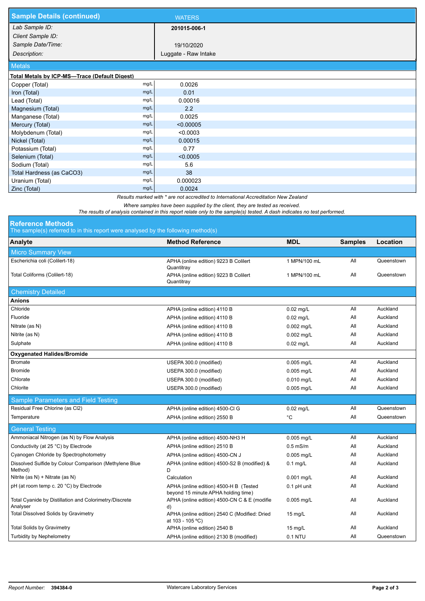| <b>Sample Details (continued)</b>                                                   |      | <b>WATERS</b>        |  |  |  |
|-------------------------------------------------------------------------------------|------|----------------------|--|--|--|
| Lab Sample ID:                                                                      |      | 201015-006-1         |  |  |  |
| Client Sample ID:                                                                   |      |                      |  |  |  |
| Sample Date/Time:                                                                   |      | 19/10/2020           |  |  |  |
| Description:                                                                        |      | Luggate - Raw Intake |  |  |  |
| <b>Metals</b>                                                                       |      |                      |  |  |  |
| Total Metals by ICP-MS-Trace (Default Digest)                                       |      |                      |  |  |  |
| Copper (Total)                                                                      | mg/L | 0.0026               |  |  |  |
| Iron (Total)                                                                        | mg/L | 0.01                 |  |  |  |
| Lead (Total)                                                                        | mg/L | 0.00016              |  |  |  |
| Magnesium (Total)                                                                   | mg/L | 2.2                  |  |  |  |
| Manganese (Total)                                                                   | mg/L | 0.0025               |  |  |  |
| Mercury (Total)                                                                     | mg/L | < 0.00005            |  |  |  |
| Molybdenum (Total)                                                                  | mg/L | < 0.0003             |  |  |  |
| Nickel (Total)                                                                      | mg/L | 0.00015              |  |  |  |
| Potassium (Total)                                                                   | mg/L | 0.77                 |  |  |  |
| Selenium (Total)                                                                    | mg/L | < 0.0005             |  |  |  |
| Sodium (Total)                                                                      | mg/L | 5.6                  |  |  |  |
| Total Hardness (as CaCO3)                                                           | mg/L | 38                   |  |  |  |
| Uranium (Total)                                                                     | mg/L | 0.000023             |  |  |  |
| Zinc (Total)                                                                        | mg/L | 0.0024               |  |  |  |
| Results marked with * are not accredited to International Accreditation New Zealand |      |                      |  |  |  |

*Where samples have been supplied by the client, they are tested as received.* 

*The results of analysis contained in this report relate only to the sample(s) tested. A dash indicates no test performed.*

| <b>Reference Methods</b> |  |  |  |  |
|--------------------------|--|--|--|--|
|                          |  |  |  |  |

The sample(s) referred to in this report were analysed by the following method(s)

| The sample(s) referred to in this report were analysed by the following method(s) |                                                                               |                   |                |            |  |  |  |
|-----------------------------------------------------------------------------------|-------------------------------------------------------------------------------|-------------------|----------------|------------|--|--|--|
| Analyte                                                                           | <b>Method Reference</b>                                                       | <b>MDL</b>        | <b>Samples</b> | Location   |  |  |  |
| <b>Micro Summary View</b>                                                         |                                                                               |                   |                |            |  |  |  |
| Escherichia coli (Colilert-18)                                                    | APHA (online edition) 9223 B Colilert<br>Quantitray                           | 1 MPN/100 mL      | All            | Queenstown |  |  |  |
| Total Coliforms (Colilert-18)                                                     | APHA (online edition) 9223 B Colilert<br>Quantitray                           | 1 MPN/100 mL      | All            | Queenstown |  |  |  |
| <b>Chemistry Detailed</b>                                                         |                                                                               |                   |                |            |  |  |  |
| <b>Anions</b>                                                                     |                                                                               |                   |                |            |  |  |  |
| Chloride                                                                          | APHA (online edition) 4110 B                                                  | $0.02$ mg/L       | All            | Auckland   |  |  |  |
| Fluoride                                                                          | APHA (online edition) 4110 B                                                  | $0.02$ mg/L       | All            | Auckland   |  |  |  |
| Nitrate (as N)                                                                    | APHA (online edition) 4110 B                                                  | $0.002$ mg/L      | All            | Auckland   |  |  |  |
| Nitrite (as N)                                                                    | APHA (online edition) 4110 B                                                  | 0.002 mg/L        | All            | Auckland   |  |  |  |
| Sulphate                                                                          | APHA (online edition) 4110 B                                                  | $0.02$ mg/L       | All            | Auckland   |  |  |  |
| <b>Oxygenated Halides/Bromide</b>                                                 |                                                                               |                   |                |            |  |  |  |
| <b>Bromate</b>                                                                    | USEPA 300.0 (modified)                                                        | 0.005 mg/L        | All            | Auckland   |  |  |  |
| <b>Bromide</b>                                                                    | USEPA 300.0 (modified)                                                        | $0.005$ mg/L      | All            | Auckland   |  |  |  |
| Chlorate                                                                          | USEPA 300.0 (modified)                                                        | $0.010$ mg/L      | All            | Auckland   |  |  |  |
| Chlorite                                                                          | USEPA 300.0 (modified)                                                        | $0.005$ mg/L      | All            | Auckland   |  |  |  |
| <b>Sample Parameters and Field Testing</b>                                        |                                                                               |                   |                |            |  |  |  |
| Residual Free Chlorine (as Cl2)                                                   | APHA (online edition) 4500-Cl G                                               | $0.02$ mg/L       | All            | Queenstown |  |  |  |
| Temperature                                                                       | APHA (online edition) 2550 B                                                  | °C                | All            | Queenstown |  |  |  |
| <b>General Testing</b>                                                            |                                                                               |                   |                |            |  |  |  |
| Ammoniacal Nitrogen (as N) by Flow Analysis                                       | APHA (online edition) 4500-NH3 H                                              | $0.005$ mg/L      | All            | Auckland   |  |  |  |
| Conductivity (at 25 °C) by Electrode                                              | APHA (online edition) 2510 B                                                  | $0.5$ mS/m        | All            | Auckland   |  |  |  |
| Cyanogen Chloride by Spectrophotometry                                            | APHA (online edition) 4500-CN J                                               | $0.005$ mg/L      | All            | Auckland   |  |  |  |
| Dissolved Sulfide by Colour Comparison (Methylene Blue<br>Method)                 | APHA (online edition) 4500-S2 B (modified) &<br>D                             | $0.1$ mg/L        | All            | Auckland   |  |  |  |
| Nitrite (as N) + Nitrate (as N)                                                   | Calculation                                                                   | $0.001$ mg/L      | All            | Auckland   |  |  |  |
| pH (at room temp c. 20 °C) by Electrode                                           | APHA (online edition) 4500-H B (Tested<br>beyond 15 minute APHA holding time) | $0.1$ pH unit     | All            | Auckland   |  |  |  |
| Total Cyanide by Distillation and Colorimetry/Discrete<br>Analyser                | APHA (online edition) 4500-CN C & E (modifie<br>d)                            | $0.005$ mg/L      | All            | Auckland   |  |  |  |
| <b>Total Dissolved Solids by Gravimetry</b>                                       | APHA (online edition) 2540 C (Modified: Dried<br>at 103 - 105 °C)             | $15 \text{ mg/L}$ | All            | Auckland   |  |  |  |
| <b>Total Solids by Gravimetry</b>                                                 | APHA (online edition) 2540 B                                                  | $15 \text{ mg/L}$ | All            | Auckland   |  |  |  |
| <b>Turbidity by Nephelometry</b>                                                  | APHA (online edition) 2130 B (modified)                                       | 0.1 NTU           | All            | Queenstown |  |  |  |